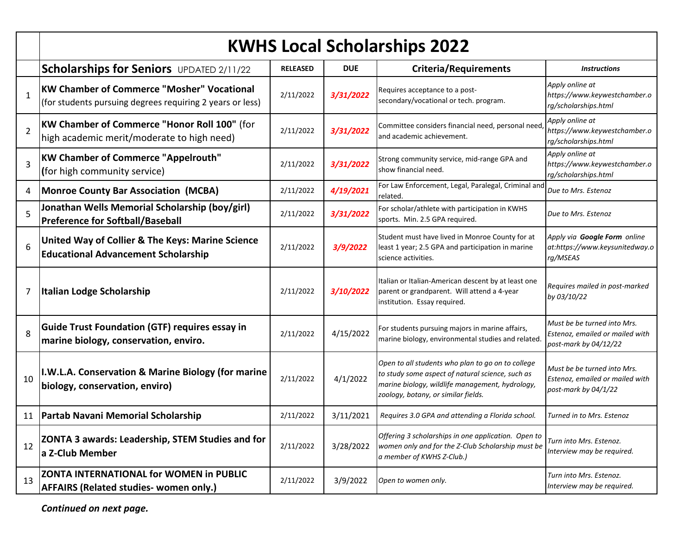|                | <b>KWHS Local Scholarships 2022</b>                                                                            |                 |            |                                                                                                                                                                                                 |                                                                                         |  |
|----------------|----------------------------------------------------------------------------------------------------------------|-----------------|------------|-------------------------------------------------------------------------------------------------------------------------------------------------------------------------------------------------|-----------------------------------------------------------------------------------------|--|
|                | <b>Scholarships for Seniors</b> UPDATED 2/11/22                                                                | <b>RELEASED</b> | <b>DUE</b> | <b>Criteria/Requirements</b>                                                                                                                                                                    | <b>Instructions</b>                                                                     |  |
| $\mathbf{1}$   | <b>KW Chamber of Commerce "Mosher" Vocational</b><br>(for students pursuing degrees requiring 2 years or less) | 2/11/2022       | 3/31/2022  | Requires acceptance to a post-<br>secondary/vocational or tech. program.                                                                                                                        | Apply online at<br>https://www.keywestchamber.o<br>rg/scholarships.html                 |  |
| $\overline{2}$ | KW Chamber of Commerce "Honor Roll 100" (for<br>high academic merit/moderate to high need)                     | 2/11/2022       | 3/31/2022  | Committee considers financial need, personal need<br>and academic achievement.                                                                                                                  | Apply online at<br>https://www.keywestchamber.o<br>rg/scholarships.html                 |  |
| 3              | <b>KW Chamber of Commerce "Appelrouth"</b><br>(for high community service)                                     | 2/11/2022       | 3/31/2022  | Strong community service, mid-range GPA and<br>show financial need.                                                                                                                             | Apply online at<br>https://www.keywestchamber.o<br>rg/scholarships.html                 |  |
| 4              | Monroe County Bar Association (MCBA)                                                                           | 2/11/2022       | 4/19/2021  | For Law Enforcement, Legal, Paralegal, Criminal and<br>related.                                                                                                                                 | Due to Mrs. Estenoz                                                                     |  |
| 5              | Jonathan Wells Memorial Scholarship (boy/girl)<br><b>Preference for Softball/Baseball</b>                      | 2/11/2022       | 3/31/2022  | For scholar/athlete with participation in KWHS<br>sports. Min. 2.5 GPA required.                                                                                                                | Due to Mrs. Estenoz                                                                     |  |
| 6              | United Way of Collier & The Keys: Marine Science<br><b>Educational Advancement Scholarship</b>                 | 2/11/2022       | 3/9/2022   | Student must have lived in Monroe County for at<br>least 1 year; 2.5 GPA and participation in marine<br>science activities.                                                                     | Apply via Google Form online<br>at:https://www.keysunitedway.o<br>rg/MSEAS              |  |
| 7              | Italian Lodge Scholarship                                                                                      | 2/11/2022       | 3/10/2022  | Italian or Italian-American descent by at least one<br>parent or grandparent. Will attend a 4-year<br>institution. Essay required.                                                              | Requires mailed in post-marked<br>by 03/10/22                                           |  |
| 8              | Guide Trust Foundation (GTF) requires essay in<br>marine biology, conservation, enviro.                        | 2/11/2022       | 4/15/2022  | For students pursuing majors in marine affairs,<br>marine biology, environmental studies and related.                                                                                           | Must be be turned into Mrs.<br>Estenoz, emailed or mailed with<br>post-mark by 04/12/22 |  |
| 10             | I.W.L.A. Conservation & Marine Biology (for marine<br>biology, conservation, enviro)                           | 2/11/2022       | 4/1/2022   | Open to all students who plan to go on to college<br>to study some aspect of natural science, such as<br>marine biology, wildlife management, hydrology,<br>zoology, botany, or similar fields. | Must be be turned into Mrs.<br>Estenoz, emailed or mailed with<br>post-mark by 04/1/22  |  |
|                | 11   Partab Navani Memorial Scholarship                                                                        | 2/11/2022       | 3/11/2021  | Requires 3.0 GPA and attending a Florida school.                                                                                                                                                | Turned in to Mrs. Estenoz                                                               |  |
| 12             | <b>ZONTA 3 awards: Leadership, STEM Studies and for</b><br>a Z-Club Member                                     | 2/11/2022       | 3/28/2022  | Offering 3 scholarships in one application. Open to<br>women only and for the Z-Club Scholarship must be<br>a member of KWHS Z-Club.)                                                           | Turn into Mrs. Estenoz.<br>Interview may be required.                                   |  |
| 13             | <b>ZONTA INTERNATIONAL for WOMEN in PUBLIC</b><br><b>AFFAIRS (Related studies- women only.)</b>                | 2/11/2022       | 3/9/2022   | Open to women only.                                                                                                                                                                             | Turn into Mrs. Estenoz.<br>Interview may be required.                                   |  |

*Continued on next page.*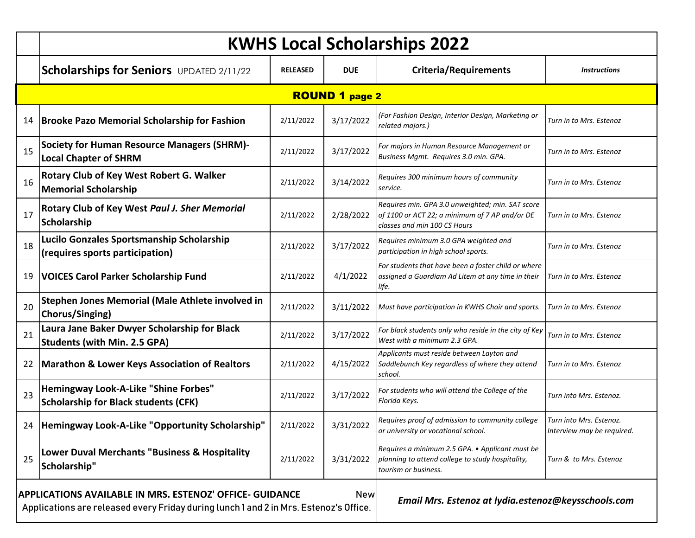|    | <b>KWHS Local Scholarships 2022</b>                                                                                                                                                                                    |                 |            |                                                                                                                                    |                                                       |  |  |
|----|------------------------------------------------------------------------------------------------------------------------------------------------------------------------------------------------------------------------|-----------------|------------|------------------------------------------------------------------------------------------------------------------------------------|-------------------------------------------------------|--|--|
|    | <b>Scholarships for Seniors</b> UPDATED 2/11/22                                                                                                                                                                        | <b>RELEASED</b> | <b>DUE</b> | <b>Criteria/Requirements</b>                                                                                                       | <b>Instructions</b>                                   |  |  |
|    | <b>ROUND 1 page 2</b>                                                                                                                                                                                                  |                 |            |                                                                                                                                    |                                                       |  |  |
| 14 | <b>Brooke Pazo Memorial Scholarship for Fashion</b>                                                                                                                                                                    | 2/11/2022       | 3/17/2022  | (For Fashion Design, Interior Design, Marketing or<br>related majors.)                                                             | Turn in to Mrs. Estenoz                               |  |  |
| 15 | <b>Society for Human Resource Managers (SHRM)-</b><br><b>Local Chapter of SHRM</b>                                                                                                                                     | 2/11/2022       | 3/17/2022  | For majors in Human Resource Management or<br>Business Mgmt. Requires 3.0 min. GPA.                                                | Turn in to Mrs. Estenoz                               |  |  |
| 16 | Rotary Club of Key West Robert G. Walker<br><b>Memorial Scholarship</b>                                                                                                                                                | 2/11/2022       | 3/14/2022  | Requires 300 minimum hours of community<br>service.                                                                                | Turn in to Mrs. Estenoz                               |  |  |
| 17 | Rotary Club of Key West Paul J. Sher Memorial<br><b>Scholarship</b>                                                                                                                                                    | 2/11/2022       | 2/28/2022  | Requires min. GPA 3.0 unweighted; min. SAT score<br>of 1100 or ACT 22; a minimum of 7 AP and/or DE<br>classes and min 100 CS Hours | Turn in to Mrs. Estenoz                               |  |  |
| 18 | Lucilo Gonzales Sportsmanship Scholarship<br>(requires sports participation)                                                                                                                                           | 2/11/2022       | 3/17/2022  | Requires minimum 3.0 GPA weighted and<br>participation in high school sports.                                                      | Turn in to Mrs. Estenoz                               |  |  |
| 19 | <b>VOICES Carol Parker Scholarship Fund</b>                                                                                                                                                                            | 2/11/2022       | 4/1/2022   | For students that have been a foster child or where<br>assigned a Guardiam Ad Litem at any time in their<br>life.                  | Turn in to Mrs. Estenoz                               |  |  |
| 20 | Stephen Jones Memorial (Male Athlete involved in<br>Chorus/Singing)                                                                                                                                                    | 2/11/2022       | 3/11/2022  | Must have participation in KWHS Choir and sports.                                                                                  | Turn in to Mrs. Estenoz                               |  |  |
| 21 | Laura Jane Baker Dwyer Scholarship for Black<br><b>Students (with Min. 2.5 GPA)</b>                                                                                                                                    | 2/11/2022       | 3/17/2022  | For black students only who reside in the city of Key<br>West with a minimum 2.3 GPA.                                              | Turn in to Mrs. Estenoz                               |  |  |
| 22 | <b>Marathon &amp; Lower Keys Association of Realtors</b>                                                                                                                                                               | 2/11/2022       | 4/15/2022  | Applicants must reside between Layton and<br>Saddlebunch Key regardless of where they attend<br>school.                            | Turn in to Mrs. Estenoz                               |  |  |
| 23 | <b>Hemingway Look-A-Like "Shine Forbes"</b><br><b>Scholarship for Black students (CFK)</b>                                                                                                                             | 2/11/2022       | 3/17/2022  | For students who will attend the College of the<br>Florida Keys.                                                                   | Turn into Mrs. Estenoz.                               |  |  |
|    | 24   Hemingway Look-A-Like "Opportunity Scholarship"                                                                                                                                                                   | 2/11/2022       | 3/31/2022  | Requires proof of admission to community college<br>or university or vocational school.                                            | Turn into Mrs. Estenoz.<br>Interview may be required. |  |  |
| 25 | <b>Lower Duval Merchants "Business &amp; Hospitality</b><br>Scholarship"                                                                                                                                               | 2/11/2022       | 3/31/2022  | Requires a minimum 2.5 GPA. • Applicant must be<br>planning to attend college to study hospitality,<br>tourism or business.        | Turn & to Mrs. Estenoz                                |  |  |
|    | APPLICATIONS AVAILABLE IN MRS. ESTENOZ' OFFICE- GUIDANCE<br><b>New</b><br>Email Mrs. Estenoz at lydia.estenoz@keysschools.com<br>Applications are released every Friday during lunch 1 and 2 in Mrs. Estenoz's Office. |                 |            |                                                                                                                                    |                                                       |  |  |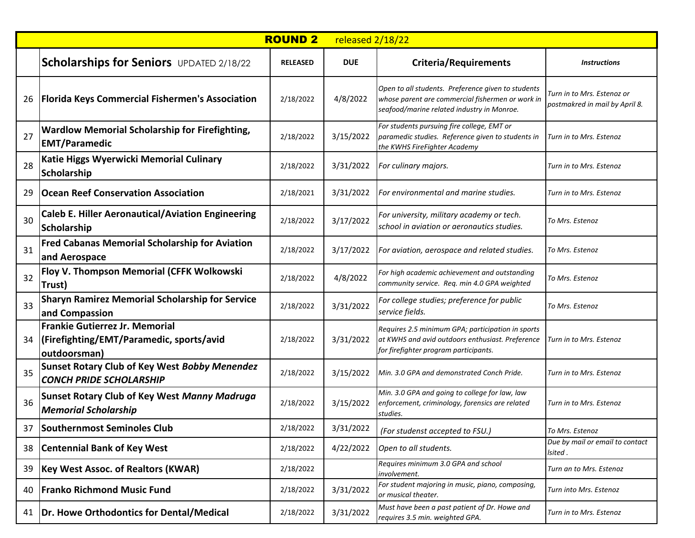|    |                                                                                                    | <b>ROUND 2</b>  | released 2/18/22 |                                                                                                                                                      |                                                              |
|----|----------------------------------------------------------------------------------------------------|-----------------|------------------|------------------------------------------------------------------------------------------------------------------------------------------------------|--------------------------------------------------------------|
|    | <b>Scholarships for Seniors</b> UPDATED 2/18/22                                                    | <b>RELEASED</b> | <b>DUE</b>       | <b>Criteria/Requirements</b>                                                                                                                         | <i><b>Instructions</b></i>                                   |
| 26 | <b>Florida Keys Commercial Fishermen's Association</b>                                             | 2/18/2022       | 4/8/2022         | Open to all students. Preference given to students<br>whose parent are commercial fishermen or work in<br>seafood/marine related industry in Monroe. | Turn in to Mrs. Estenoz or<br>postmakred in mail by April 8. |
| 27 | <b>Wardlow Memorial Scholarship for Firefighting,</b><br><b>EMT/Paramedic</b>                      | 2/18/2022       | 3/15/2022        | For students pursuing fire college, EMT or<br>paramedic studies. Reference given to students in<br>the KWHS FireFighter Academy                      | Turn in to Mrs. Estenoz                                      |
| 28 | Katie Higgs Wyerwicki Memorial Culinary<br><b>Scholarship</b>                                      | 2/18/2022       | 3/31/2022        | For culinary majors.                                                                                                                                 | Turn in to Mrs. Estenoz                                      |
| 29 | <b>Ocean Reef Conservation Association</b>                                                         | 2/18/2021       | 3/31/2022        | For environmental and marine studies.                                                                                                                | Turn in to Mrs. Estenoz                                      |
| 30 | <b>Caleb E. Hiller Aeronautical/Aviation Engineering</b><br>Scholarship                            | 2/18/2022       | 3/17/2022        | For university, military academy or tech.<br>school in aviation or aeronautics studies.                                                              | To Mrs. Estenoz                                              |
| 31 | <b>Fred Cabanas Memorial Scholarship for Aviation</b><br>and Aerospace                             | 2/18/2022       | 3/17/2022        | For aviation, aerospace and related studies.                                                                                                         | To Mrs. Estenoz                                              |
| 32 | Floy V. Thompson Memorial (CFFK Wolkowski<br>Trust)                                                | 2/18/2022       | 4/8/2022         | For high academic achievement and outstanding<br>community service. Req. min 4.0 GPA weighted                                                        | To Mrs. Estenoz                                              |
| 33 | <b>Sharyn Ramirez Memorial Scholarship for Service</b><br>and Compassion                           | 2/18/2022       | 3/31/2022        | For college studies; preference for public<br>service fields.                                                                                        | To Mrs. Estenoz                                              |
| 34 | <b>Frankie Gutierrez Jr. Memorial</b><br> (Firefighting/EMT/Paramedic, sports/avid<br>outdoorsman) | 2/18/2022       | 3/31/2022        | Requires 2.5 minimum GPA; participation in sports<br>at KWHS and avid outdoors enthusiast. Preference<br>for firefighter program participants.       | Turn in to Mrs. Estenoz                                      |
| 35 | <b>Sunset Rotary Club of Key West Bobby Menendez</b><br><b>CONCH PRIDE SCHOLARSHIP</b>             | 2/18/2022       | 3/15/2022        | Min. 3.0 GPA and demonstrated Conch Pride.                                                                                                           | Turn in to Mrs. Estenoz                                      |
| 36 | <b>Sunset Rotary Club of Key West Manny Madruga</b><br><b>Memorial Scholarship</b>                 | 2/18/2022       | 3/15/2022        | Min. 3.0 GPA and going to college for law, law<br>enforcement, criminology, forensics are related<br>studies.                                        | Turn in to Mrs. Estenoz                                      |
| 37 | Southernmost Seminoles Club                                                                        | 2/18/2022       | 3/31/2022        | (For studenst accepted to FSU.)                                                                                                                      | To Mrs. Estenoz                                              |
| 38 | <b>Centennial Bank of Key West</b>                                                                 | 2/18/2022       | 4/22/2022        | Open to all students.                                                                                                                                | Due by mail or email to contact<br>lsited .                  |
| 39 | <b>Key West Assoc. of Realtors (KWAR)</b>                                                          | 2/18/2022       |                  | Requires minimum 3.0 GPA and school<br>involvement.                                                                                                  | Turn an to Mrs. Estenoz                                      |
| 40 | <b>Franko Richmond Music Fund</b>                                                                  | 2/18/2022       | 3/31/2022        | For student majoring in music, piano, composing,<br>or musical theater.                                                                              | Turn into Mrs. Estenoz                                       |
| 41 | Dr. Howe Orthodontics for Dental/Medical                                                           | 2/18/2022       | 3/31/2022        | Must have been a past patient of Dr. Howe and<br>requires 3.5 min. weighted GPA.                                                                     | Turn in to Mrs. Estenoz                                      |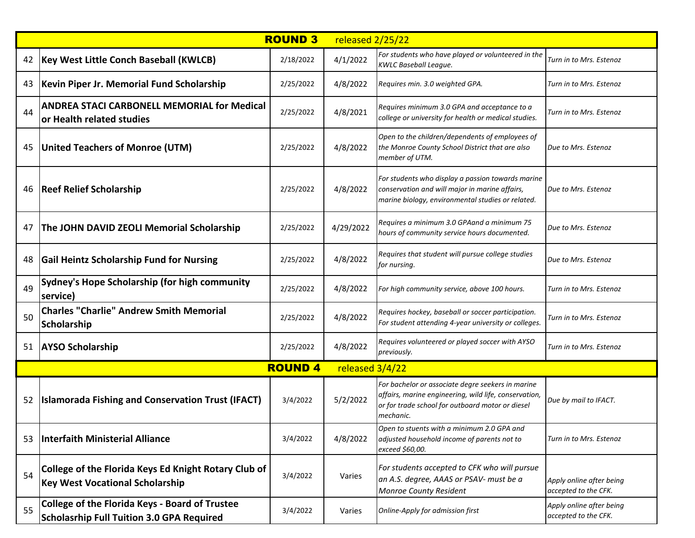|    |                                                                                                           | <b>ROUND 3</b> | released 2/25/22 |                                                                                                                                                                             |                                                  |
|----|-----------------------------------------------------------------------------------------------------------|----------------|------------------|-----------------------------------------------------------------------------------------------------------------------------------------------------------------------------|--------------------------------------------------|
| 42 | Key West Little Conch Baseball (KWLCB)                                                                    | 2/18/2022      | 4/1/2022         | For students who have played or volunteered in the<br>KWLC Baseball League.                                                                                                 | Turn in to Mrs. Estenoz                          |
| 43 | Kevin Piper Jr. Memorial Fund Scholarship                                                                 | 2/25/2022      | 4/8/2022         | Requires min. 3.0 weighted GPA.                                                                                                                                             | Turn in to Mrs. Estenoz                          |
| 44 | <b>ANDREA STACI CARBONELL MEMORIAL for Medical</b><br>or Health related studies                           | 2/25/2022      | 4/8/2021         | Requires minimum 3.0 GPA and acceptance to a<br>college or university for health or medical studies.                                                                        | Turn in to Mrs. Estenoz                          |
| 45 | United Teachers of Monroe (UTM)                                                                           | 2/25/2022      | 4/8/2022         | Open to the children/dependents of employees of<br>the Monroe County School District that are also<br>member of UTM.                                                        | Due to Mrs. Estenoz                              |
| 46 | <b>Reef Relief Scholarship</b>                                                                            | 2/25/2022      | 4/8/2022         | For students who display a passion towards marine<br>conservation and will major in marine affairs,<br>marine biology, environmental studies or related.                    | Due to Mrs. Estenoz                              |
| 47 | The JOHN DAVID ZEOLI Memorial Scholarship                                                                 | 2/25/2022      | 4/29/2022        | Requires a minimum 3.0 GPAand a minimum 75<br>hours of community service hours documented.                                                                                  | Due to Mrs. Estenoz                              |
| 48 | <b>Gail Heintz Scholarship Fund for Nursing</b>                                                           | 2/25/2022      | 4/8/2022         | Requires that student will pursue college studies<br>for nursing.                                                                                                           | Due to Mrs. Estenoz                              |
| 49 | Sydney's Hope Scholarship (for high community<br>service)                                                 | 2/25/2022      | 4/8/2022         | For high community service, above 100 hours.                                                                                                                                | Turn in to Mrs. Estenoz                          |
| 50 | <b>Charles "Charlie" Andrew Smith Memorial</b><br>Scholarship                                             | 2/25/2022      | 4/8/2022         | Requires hockey, baseball or soccer participation.<br>For student attending 4-year university or colleges.                                                                  | Turn in to Mrs. Estenoz                          |
| 51 | <b>AYSO Scholarship</b>                                                                                   | 2/25/2022      | 4/8/2022         | Requires volunteered or played soccer with AYSO<br>previously.                                                                                                              | Turn in to Mrs. Estenoz                          |
|    |                                                                                                           | <b>ROUND4</b>  | released 3/4/22  |                                                                                                                                                                             |                                                  |
| 52 | <b>Islamorada Fishing and Conservation Trust (IFACT)</b>                                                  | 3/4/2022       | 5/2/2022         | For bachelor or associate degre seekers in marine<br>affairs, marine engineering, wild life, conservation,<br>or for trade school for outboard motor or diesel<br>mechanic. | Due by mail to IFACT.                            |
| 53 | Interfaith Ministerial Alliance                                                                           | 3/4/2022       | 4/8/2022         | Open to stuents with a minimum 2.0 GPA and<br>adjusted household income of parents not to<br>exceed \$60,00.                                                                | Turn in to Mrs. Estenoz                          |
| 54 | College of the Florida Keys Ed Knight Rotary Club of<br><b>Key West Vocational Scholarship</b>            | 3/4/2022       | Varies           | For students accepted to CFK who will pursue<br>an A.S. degree, AAAS or PSAV- must be a<br><b>Monroe County Resident</b>                                                    | Apply online after being<br>accepted to the CFK. |
| 55 | <b>College of the Florida Keys - Board of Trustee</b><br><b>Scholasrhip Full Tuition 3.0 GPA Required</b> | 3/4/2022       | Varies           | Online-Apply for admission first                                                                                                                                            | Apply online after being<br>accepted to the CFK. |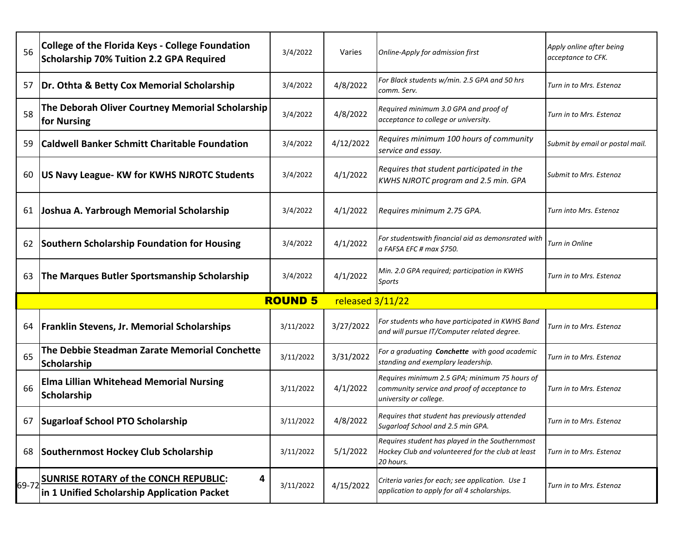| 56    | <b>College of the Florida Keys - College Foundation</b><br><b>Scholarship 70% Tuition 2.2 GPA Required</b> | 3/4/2022  | Varies    | Online-Apply for admission first                                                                                        | Apply online after being<br>acceptance to CFK. |  |  |
|-------|------------------------------------------------------------------------------------------------------------|-----------|-----------|-------------------------------------------------------------------------------------------------------------------------|------------------------------------------------|--|--|
| 57    | Dr. Othta & Betty Cox Memorial Scholarship                                                                 | 3/4/2022  | 4/8/2022  | For Black students w/min. 2.5 GPA and 50 hrs<br>comm. Serv.                                                             | Turn in to Mrs. Estenoz                        |  |  |
| 58    | The Deborah Oliver Courtney Memorial Scholarship<br>for Nursing                                            | 3/4/2022  | 4/8/2022  | Required minimum 3.0 GPA and proof of<br>acceptance to college or university.                                           | Turn in to Mrs. Estenoz                        |  |  |
| 59    | <b>Caldwell Banker Schmitt Charitable Foundation</b>                                                       | 3/4/2022  | 4/12/2022 | Requires minimum 100 hours of community<br>service and essay.                                                           | Submit by email or postal mail.                |  |  |
| 60    | US Navy League- KW for KWHS NJROTC Students                                                                | 3/4/2022  | 4/1/2022  | Requires that student participated in the<br>KWHS NJROTC program and 2.5 min. GPA                                       | <b>Submit to Mrs. Estenoz</b>                  |  |  |
| 61    | Joshua A. Yarbrough Memorial Scholarship                                                                   | 3/4/2022  | 4/1/2022  | Requires minimum 2.75 GPA.                                                                                              | Turn into Mrs. Estenoz                         |  |  |
| 62    | <b>Southern Scholarship Foundation for Housing</b>                                                         | 3/4/2022  | 4/1/2022  | For studentswith financial aid as demonsrated with<br>a FAFSA EFC # max \$750.                                          | Turn in Online                                 |  |  |
| 63    | The Marques Butler Sportsmanship Scholarship                                                               | 3/4/2022  | 4/1/2022  | Min. 2.0 GPA required; participation in KWHS<br>Sports                                                                  | Turn in to Mrs. Estenoz                        |  |  |
|       | <b>ROUND 5</b><br>released 3/11/22                                                                         |           |           |                                                                                                                         |                                                |  |  |
| 64    | <b>Franklin Stevens, Jr. Memorial Scholarships</b>                                                         | 3/11/2022 | 3/27/2022 | For students who have participated in KWHS Band<br>and will pursue IT/Computer related degree.                          | Turn in to Mrs. Estenoz                        |  |  |
| 65    | The Debbie Steadman Zarate Memorial Conchette<br>Scholarship                                               | 3/11/2022 | 3/31/2022 | For a graduating <b>Conchette</b> with good academic<br>standing and exemplary leadership.                              | Turn in to Mrs. Estenoz                        |  |  |
| 66    | <b>Elma Lillian Whitehead Memorial Nursing</b><br>Scholarship                                              | 3/11/2022 | 4/1/2022  | Requires minimum 2.5 GPA; minimum 75 hours of<br>community service and proof of acceptance to<br>university or college. | Turn in to Mrs. Estenoz                        |  |  |
| 67    | Sugarloaf School PTO Scholarship                                                                           | 3/11/2022 | 4/8/2022  | Requires that student has previously attended<br>Sugarloaf School and 2.5 min GPA.                                      | Turn in to Mrs. Estenoz                        |  |  |
| 68    | Southernmost Hockey Club Scholarship                                                                       | 3/11/2022 | 5/1/2022  | Requires student has played in the Southernmost<br>Hockey Club and volunteered for the club at least<br>20 hours.       | Turn in to Mrs. Estenoz                        |  |  |
| 69-72 | <b>SUNRISE ROTARY of the CONCH REPUBLIC:</b><br>4<br>in 1 Unified Scholarship Application Packet           | 3/11/2022 | 4/15/2022 | Criteria varies for each; see application. Use 1<br>application to apply for all 4 scholarships.                        | Turn in to Mrs. Estenoz                        |  |  |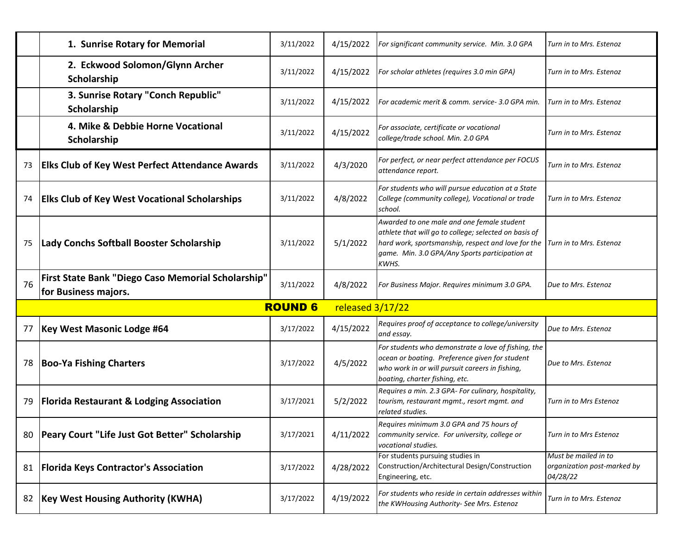|    | 1. Sunrise Rotary for Memorial                                             | 3/11/2022                          | 4/15/2022 | For significant community service. Min. 3.0 GPA                                                                                                                                                                      | Turn in to Mrs. Estenoz                                         |  |  |
|----|----------------------------------------------------------------------------|------------------------------------|-----------|----------------------------------------------------------------------------------------------------------------------------------------------------------------------------------------------------------------------|-----------------------------------------------------------------|--|--|
|    | 2. Eckwood Solomon/Glynn Archer<br>Scholarship                             | 3/11/2022                          | 4/15/2022 | For scholar athletes (requires 3.0 min GPA)                                                                                                                                                                          | Turn in to Mrs. Estenoz                                         |  |  |
|    | 3. Sunrise Rotary "Conch Republic"<br>Scholarship                          | 3/11/2022                          | 4/15/2022 | For academic merit & comm. service- 3.0 GPA min.                                                                                                                                                                     | Turn in to Mrs. Estenoz                                         |  |  |
|    | 4. Mike & Debbie Horne Vocational<br>Scholarship                           | 3/11/2022                          | 4/15/2022 | For associate, certificate or vocational<br>college/trade school. Min. 2.0 GPA                                                                                                                                       | Turn in to Mrs. Estenoz                                         |  |  |
| 73 | <b>Elks Club of Key West Perfect Attendance Awards</b>                     | 3/11/2022                          | 4/3/2020  | For perfect, or near perfect attendance per FOCUS<br>attendance report.                                                                                                                                              | Turn in to Mrs. Estenoz                                         |  |  |
| 74 | <b>Elks Club of Key West Vocational Scholarships</b>                       | 3/11/2022                          | 4/8/2022  | For students who will pursue education at a State<br>College (community college), Vocational or trade<br>school.                                                                                                     | Turn in to Mrs. Estenoz                                         |  |  |
| 75 | Lady Conchs Softball Booster Scholarship                                   | 3/11/2022                          | 5/1/2022  | Awarded to one male and one female student<br>athlete that will go to college; selected on basis of<br>hard work, sportsmanship, respect and love for the<br>game. Min. 3.0 GPA/Any Sports participation at<br>KWHS. | Turn in to Mrs. Estenoz                                         |  |  |
| 76 | First State Bank "Diego Caso Memorial Scholarship"<br>for Business majors. | 3/11/2022                          | 4/8/2022  | For Business Major. Requires minimum 3.0 GPA.                                                                                                                                                                        | Due to Mrs. Estenoz                                             |  |  |
|    |                                                                            | <b>ROUND 6</b><br>released 3/17/22 |           |                                                                                                                                                                                                                      |                                                                 |  |  |
| 77 |                                                                            |                                    |           |                                                                                                                                                                                                                      |                                                                 |  |  |
|    | Key West Masonic Lodge #64                                                 | 3/17/2022                          | 4/15/2022 | Requires proof of acceptance to college/university<br>and essay.                                                                                                                                                     | Due to Mrs. Estenoz                                             |  |  |
| 78 | <b>Boo-Ya Fishing Charters</b>                                             | 3/17/2022                          | 4/5/2022  | For students who demonstrate a love of fishing, the<br>ocean or boating. Preference given for student<br>who work in or will pursuit careers in fishing,<br>boating, charter fishing, etc.                           | Due to Mrs. Estenoz                                             |  |  |
| 79 | <b>Florida Restaurant &amp; Lodging Association</b>                        | 3/17/2021                          | 5/2/2022  | Requires a min. 2.3 GPA- For culinary, hospitality,<br>tourism, restaurant mgmt., resort mgmt. and<br>related studies.                                                                                               | Turn in to Mrs Estenoz                                          |  |  |
| 80 | <b>Peary Court "Life Just Got Better" Scholarship</b>                      | 3/17/2021                          | 4/11/2022 | Requires minimum 3.0 GPA and 75 hours of<br>community service. For university, college or<br>vocational studies.                                                                                                     | Turn in to Mrs Estenoz                                          |  |  |
| 81 | <b>Florida Keys Contractor's Association</b>                               | 3/17/2022                          | 4/28/2022 | For students pursuing studies in<br>Construction/Architectural Design/Construction<br>Engineering, etc.                                                                                                              | Must be mailed in to<br>organization post-marked by<br>04/28/22 |  |  |